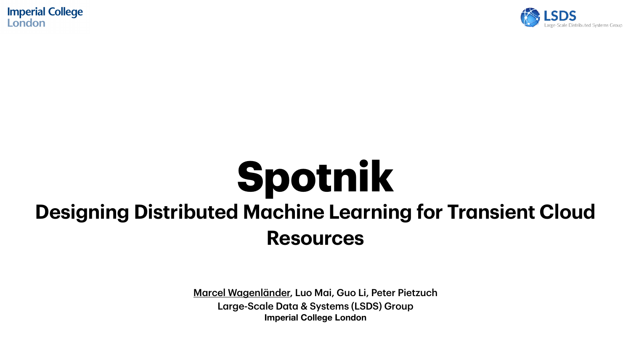Marcel Wagenländer, Luo Mai, Guo Li, Peter Pietzuch Large-Scale Data & Systems (LSDS) Group **Imperial College London**



**Imperial College** London

## **Spotnik Designing Distributed Machine Learning for Transient Cloud Resources**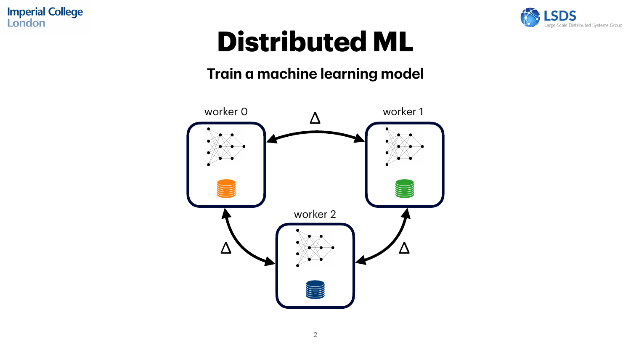## **Distributed ML**



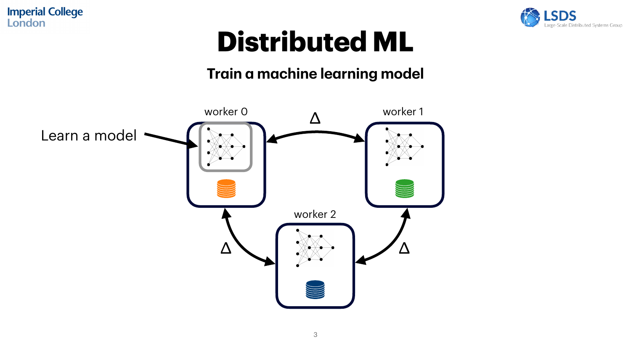## **Distributed ML**

ale Distributed Systems Group



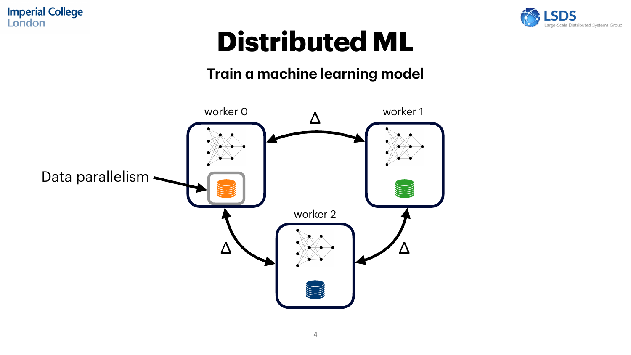## **Distributed ML**

lle Distributed Systems Group



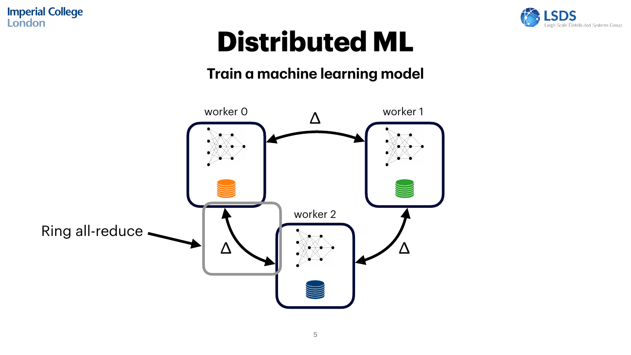## **Distributed ML**

le Distributed Systems Group



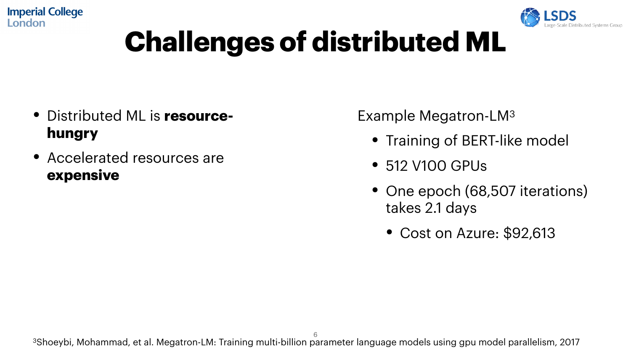## **Challenges of distributed ML**

- Training of BERT-like model
- 512 V100 GPUs
- One epoch (68,507 iterations) takes 2.1 days
	- Cost on Azure: \$92,613

- Distributed ML is **resourcehungry**
- Accelerated resources are **expensive**

Example Megatron-LM3

6 3Shoeybi, Mohammad, et al. Megatron-LM: Training multi-billion parameter language models using gpu model parallelism, 2017

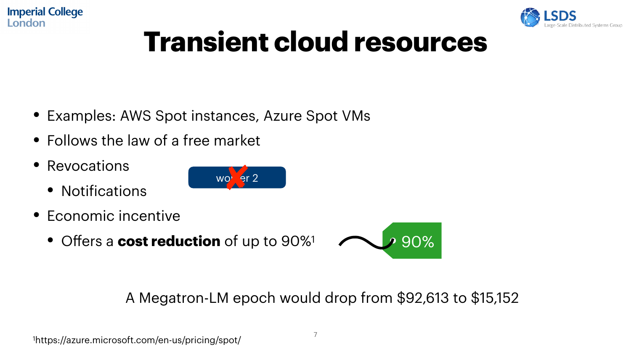## **Transient cloud resources**

- Examples: AWS Spot instances, Azure Spot VMs
- Follows the law of a free market
- Revocations
	- Notifications

- Economic incentive
	- <sup>O</sup>ffers a **cost reduction** of up to 90%1

#### A Megatron-LM epoch would drop from \$92,613 to \$15,152

<sup>1</sup>https://azure.microsoft.com/en-us/pricing/spot/





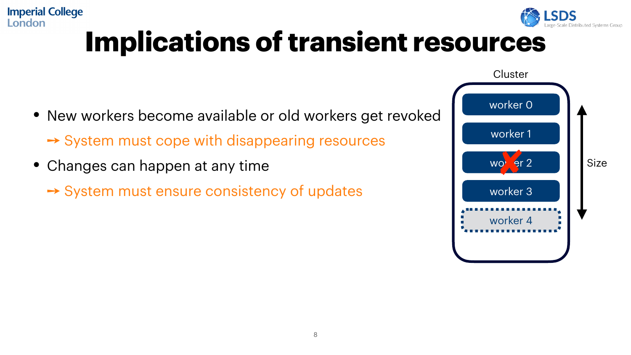#### **Imperial College** London **Implications of transient resources**

- New workers become available or old workers get revoked ➙ System must cope with disappearing resources
- Changes can happen at any time
	- ➙ System must ensure consistency of updates



**Cluster** 



Size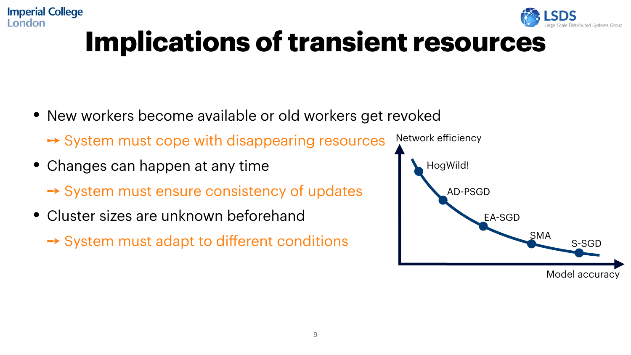## **Implications of transient resources**

- New workers become available or old workers get revoked ➙ System must cope with disappearing resources
- Changes can happen at any time **→ System must ensure consistency of updates**

**Imperial College** 

London

• Cluster sizes are unknown beforehand **→ System must adapt to different conditions** 



- 
- 

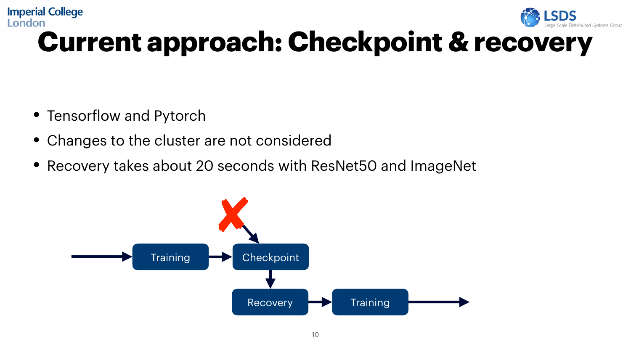### **Imperial College** London **Current approach: Checkpoint & recovery**

- Tensorflow and Pytorch
- Changes to the cluster are not considered
- Recovery takes about 20 seconds with ResNet50 and ImageNet



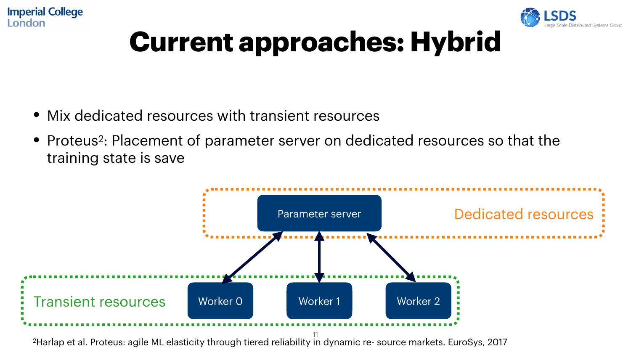- Mix dedicated resources with transient resources
- training state is save



2Harlap et al. Proteus: agile ML elasticity through tiered reliability in dynamic re- source markets. EuroSys, 2017



• Proteus<sup>2</sup>: Placement of parameter server on dedicated resources so that the



## **Current approaches: Hybrid**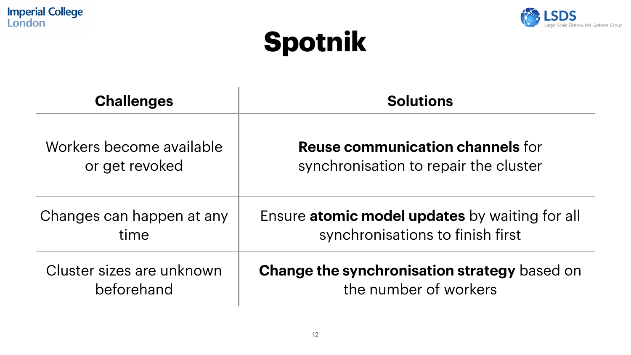### **Spotnik**

#### **Solutions**

#### **Reuse communication channels** for synchronisation to repair the cluster

### re atomic model updates by waiting for all synchronisations to finish first

**Imperial College** London



| <b>Challenges</b>                          |              |
|--------------------------------------------|--------------|
| Workers become available<br>or get revoked |              |
| Changes can happen at any<br>time          | <b>Fnsur</b> |
| Cluster sizes are unknown<br>beforehand    | Chan         |



#### ge the synchronisation strategy based on the number of workers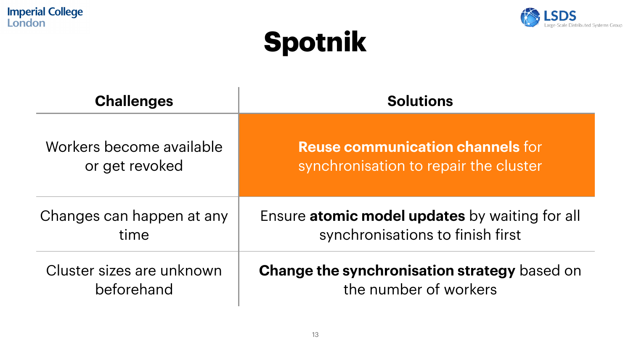## **Spotnik**

#### **Solutions**



**Reuse communication channels** for synchronisation to repair the cluster

re atomic model updates by waiting for all synchronisations to finish first

**Imperial College** London



| <b>Challenges</b>                          |       |
|--------------------------------------------|-------|
| Workers become available<br>or get revoked |       |
| Changes can happen at any<br>time          | Ensur |
| Cluster sizes are unknown<br>beforehand    | Chan  |



ge the synchronisation strategy based on the number of workers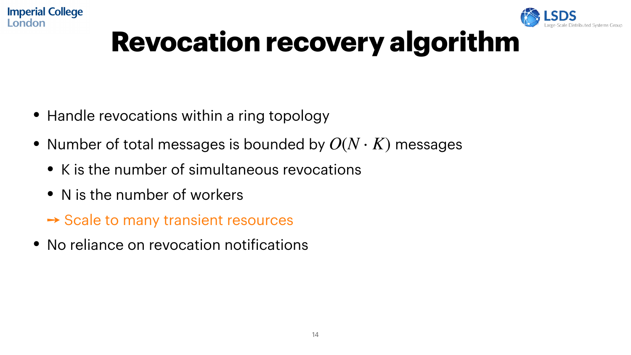## **Revocation recovery algorithm**

- Handle revocations within a ring topology
- Number of total messages is bounded by  $O(N \cdot K)$  messages
	- K is the number of simultaneous revocations
	- N is the number of workers

**Imperial College** 

London

➙ Scale to many transient resources

• No reliance on revocation notifications

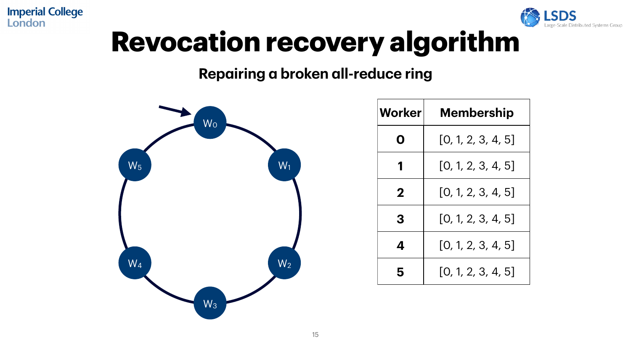## **Revocation recovery algorithm**

#### **Repairing a broken all-reduce ring**



**Imperial College** London



| Workerl        | <b>Membership</b>  |
|----------------|--------------------|
| $\blacksquare$ | [0, 1, 2, 3, 4, 5] |
|                | [0, 1, 2, 3, 4, 5] |
| $\mathbf 2$    | [0, 1, 2, 3, 4, 5] |
| 3              | [0, 1, 2, 3, 4, 5] |
|                | [0, 1, 2, 3, 4, 5] |
| 5              | [0, 1, 2, 3, 4, 5] |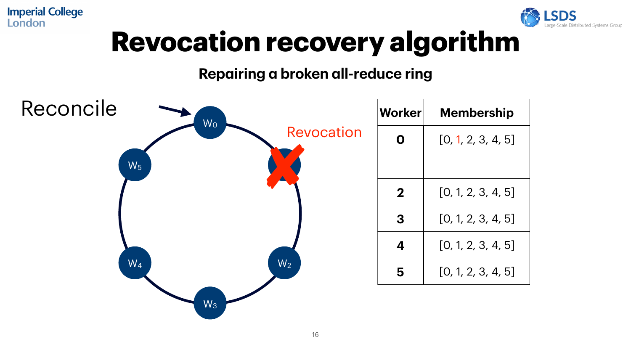|     | <b>Worker</b>  | <b>Membership</b>  |
|-----|----------------|--------------------|
| ION |                | [0, 1, 2, 3, 4, 5] |
|     |                |                    |
|     | $\overline{2}$ | [0, 1, 2, 3, 4, 5] |
|     | 3              | [0, 1, 2, 3, 4, 5] |
|     |                | [0, 1, 2, 3, 4, 5] |
|     |                | [0, 1, 2, 3, 4, 5] |





**Imperial College** London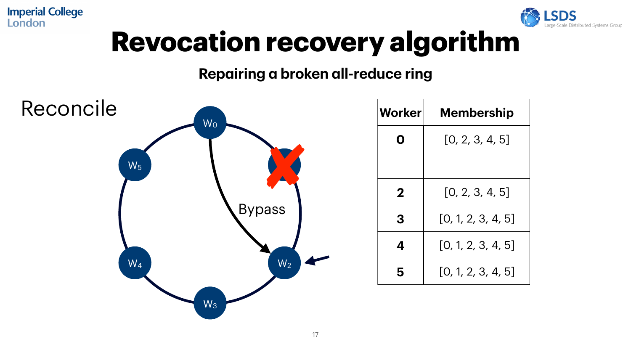



| <b>Worker</b>  | <b>Membership</b>  |
|----------------|--------------------|
| $\blacksquare$ | [0, 2, 3, 4, 5]    |
|                |                    |
| $\mathbf 2$    | [0, 2, 3, 4, 5]    |
| 3              | [0, 1, 2, 3, 4, 5] |
|                | [0, 1, 2, 3, 4, 5] |
| 5              | [0, 1, 2, 3, 4, 5] |

**Imperial College** London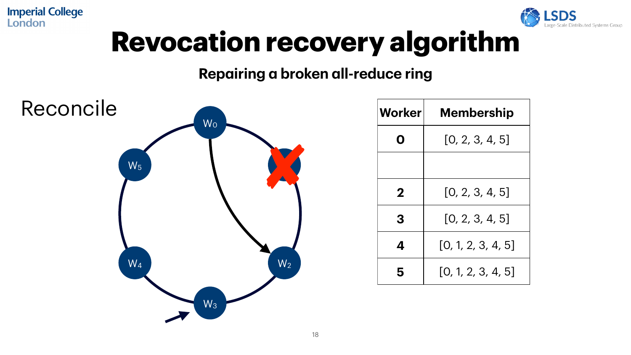



| <b>Worker</b> | <b>Membership</b>  |
|---------------|--------------------|
| $\bigcap$     | [0, 2, 3, 4, 5]    |
|               |                    |
| $\mathbf 2$   | [0, 2, 3, 4, 5]    |
| 3             | [0, 2, 3, 4, 5]    |
|               | [0, 1, 2, 3, 4, 5] |
| 5             | [0, 1, 2, 3, 4, 5] |

**Imperial College** London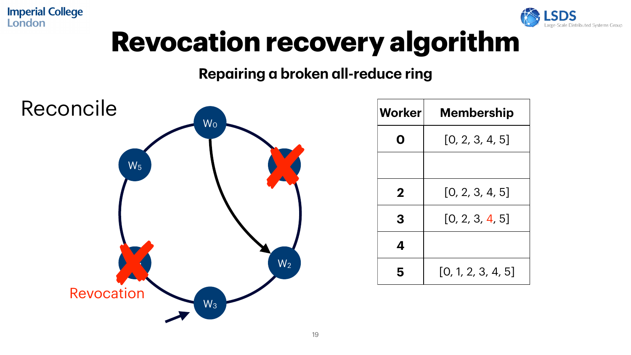| <b>Worker</b>         | <b>Membership</b>  |
|-----------------------|--------------------|
| $\boldsymbol{\Omega}$ | [0, 2, 3, 4, 5]    |
|                       |                    |
| $\mathbf 2$           | [0, 2, 3, 4, 5]    |
| 3                     | [0, 2, 3, 4, 5]    |
|                       |                    |
| 5                     | [0, 1, 2, 3, 4, 5] |





**Imperial College** London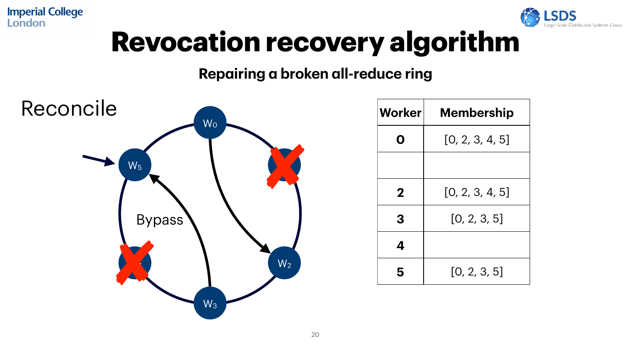

| <b>Worker</b>         | <b>Membership</b> |
|-----------------------|-------------------|
| $\boldsymbol{\Omega}$ | [0, 2, 3, 4, 5]   |
|                       |                   |
| $\mathbf 2$           | [0, 2, 3, 4, 5]   |
| 3                     | [0, 2, 3, 5]      |
|                       |                   |
| 5                     | [0, 2, 3, 5]      |



**Imperial College** London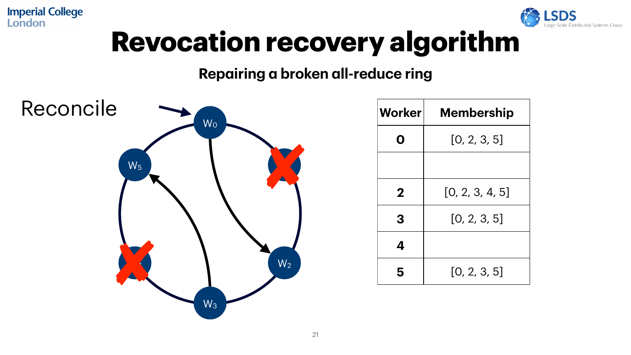## W0 W1  $W_2$  $W_3$  $\mathcal{A}$  $W_5$ Reconcile



| <b>Worker</b>    | <b>Membership</b> |
|------------------|-------------------|
| $\mathbf \Omega$ | [0, 2, 3, 5]      |
|                  |                   |
| $\mathbf 2$      | [0, 2, 3, 4, 5]   |
| 3                | [0, 2, 3, 5]      |
|                  |                   |
| 5                | [0, 2, 3, 5]      |

**Imperial College** London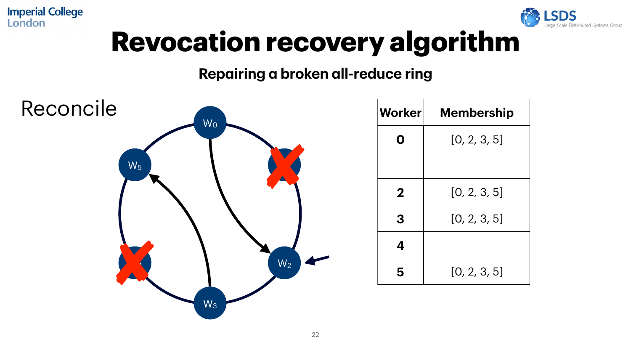



| <b>Worker</b>         | <b>Membership</b> |
|-----------------------|-------------------|
| $\boldsymbol{\Omega}$ | [0, 2, 3, 5]      |
|                       |                   |
| $\mathbf 2$           | [0, 2, 3, 5]      |
| 3                     | [0, 2, 3, 5]      |
|                       |                   |
| 5                     | [0, 2, 3, 5]      |

**Imperial College<br>London**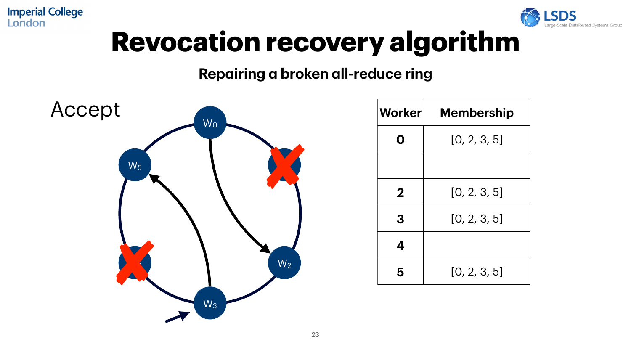



| <b>Worker</b> | <b>Membership</b> |
|---------------|-------------------|
| $\Omega$      | [0, 2, 3, 5]      |
|               |                   |
| $\mathbf 2$   | [0, 2, 3, 5]      |
| 3             | [0, 2, 3, 5]      |
|               |                   |
| 5             | [0, 2, 3, 5]      |

**Imperial College** London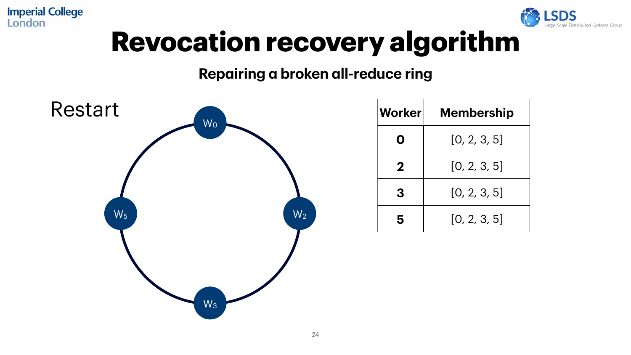



| <b>Worker</b> | <b>Membership</b> |
|---------------|-------------------|
| $\mathbf O$   | [0, 2, 3, 5]      |
| $\mathbf 2$   | [0, 2, 3, 5]      |
| 3             | [0, 2, 3, 5]      |
| 5             | [0, 2, 3, 5]      |

**Imperial College** London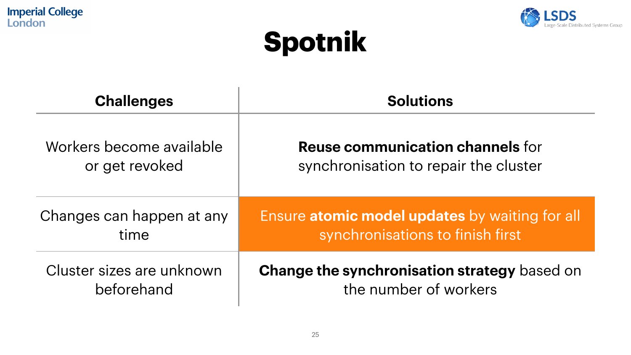### **Spotnik**

#### **Solutions**

#### **Reuse communication channels** for synchronisation to repair the cluster

### re atomic model updates by waiting for all synchronisations to finish first

**Imperial College** London



| <b>Challenges</b>                          |       |
|--------------------------------------------|-------|
| Workers become available<br>or get revoked |       |
| Changes can happen at any<br>time          | Ensur |
| Cluster sizes are unknown<br>beforehand    | Chan  |



#### **Change the synchronisation strategy** based on the number of workers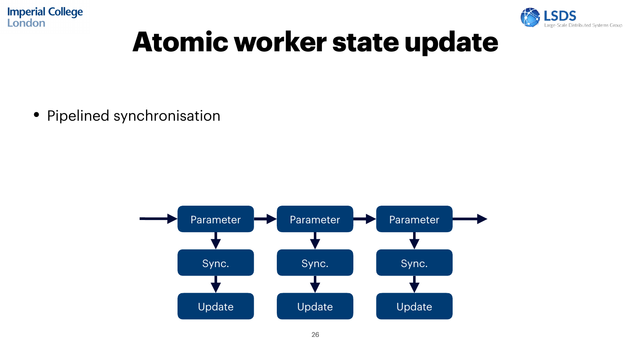## **Atomic worker state update**

#### • Pipelined synchronisation

Distributed Systems Group



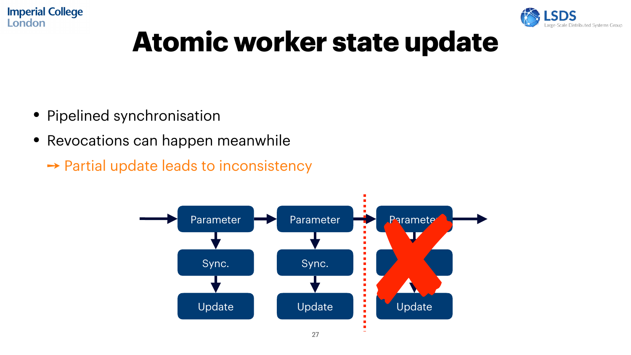## **Atomic worker state update**

- Pipelined synchronisation
- Revocations can happen meanwhile ➙ Partial update leads to inconsistency





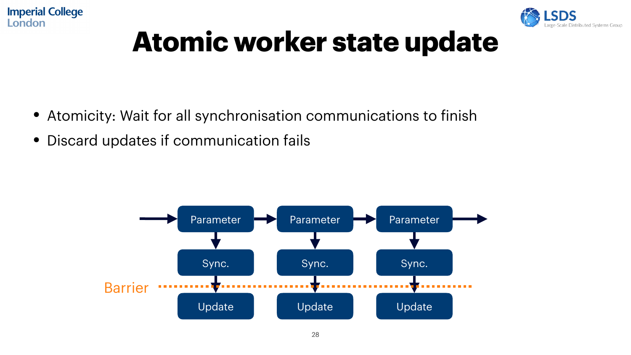## **Atomic worker state update**

- Atomicity: Wait for all synchronisation communications to finish
- Discard updates if communication fails



![](_page_27_Picture_5.jpeg)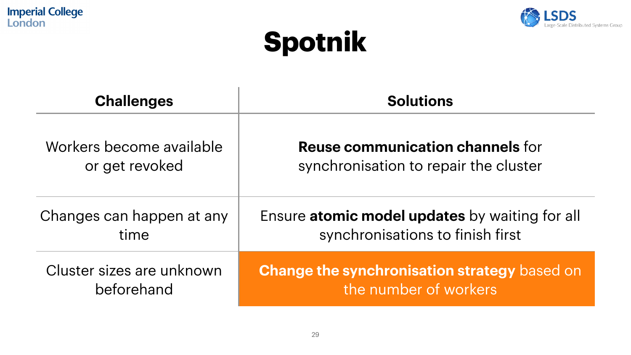### **Spotnik**

#### **Solutions**

![](_page_28_Picture_10.jpeg)

#### **Reuse communication channels** for synchronisation to repair the cluster

### re atomic model updates by waiting for all synchronisations to finish first

**Imperial College** London

![](_page_28_Picture_1.jpeg)

| <b>Challenges</b>                          |              |
|--------------------------------------------|--------------|
| Workers become available<br>or get revoked |              |
| Changes can happen at any<br>time          | <b>Fnsur</b> |
| Cluster sizes are unknown<br>beforehand    | Chan         |

![](_page_28_Picture_3.jpeg)

ge the synchronisation strategy based on the number of workers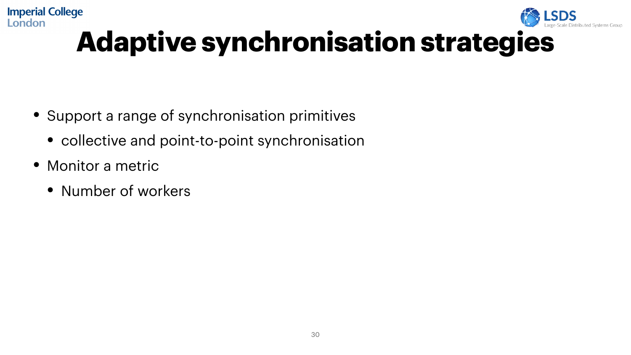#### **Imperial College** London **Adaptive synchronisation strategies**

- Support a range of synchronisation primitives
	- collective and point-to-point synchronisation
- Monitor a metric
	- Number of workers

![](_page_29_Picture_5.jpeg)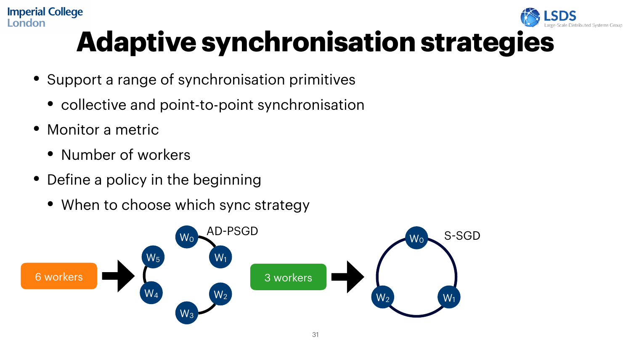#### **Imperial College** London **Adaptive synchronisation strategies**

- Support a range of synchronisation primitives
	- collective and point-to-point synchronisation
- Monitor a metric
	- Number of workers
- Define a policy in the beginning
	- When to choose which sync strategy

![](_page_30_Figure_7.jpeg)

![](_page_30_Picture_8.jpeg)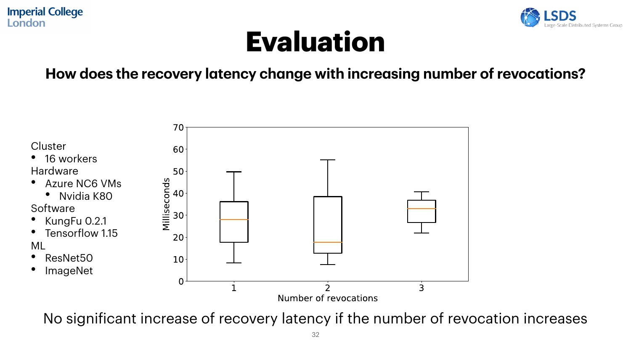### **Evaluation**

#### **How does the recovery latency change with increasing number of revocations?**

![](_page_31_Figure_3.jpeg)

No significant increase of recovery latency if the number of revocation increases

![](_page_31_Picture_5.jpeg)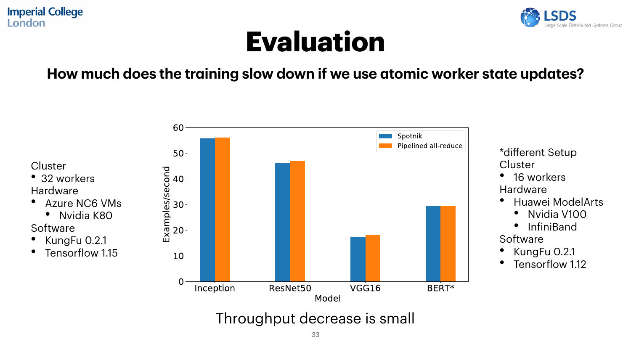## **Evaluation**

#### **How much does the training slow down if we use atomic worker state updates?**

![](_page_32_Figure_3.jpeg)

- 32 workers Hardware
- Azure NC6 VMs
	- Nvidia K80
- **Software**
- KungFu 0.2.1
- Tensorflow 1.15

![](_page_32_Figure_10.jpeg)

![](_page_32_Picture_12.jpeg)

#### Throughput decrease is small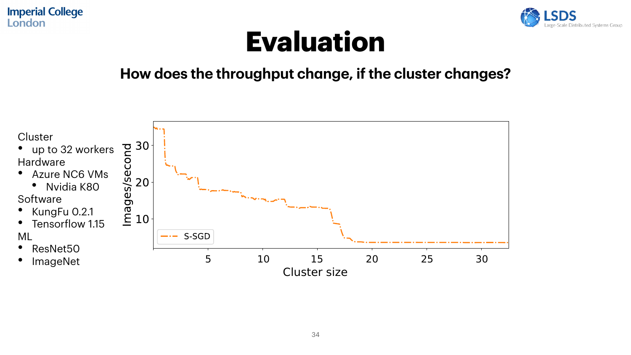### **Evaluation**

#### **How does the throughput change, if the cluster changes?**

![](_page_33_Figure_3.jpeg)

![](_page_33_Picture_4.jpeg)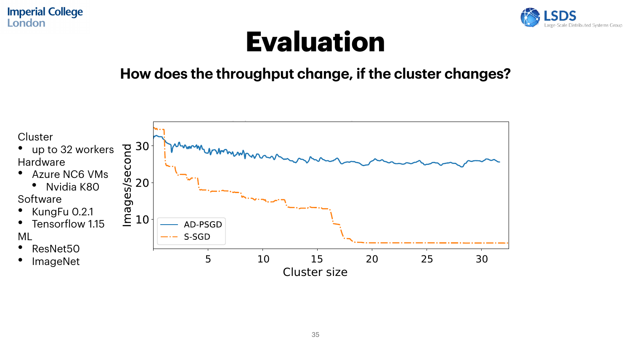### **Evaluation**

#### **How does the throughput change, if the cluster changes?**

![](_page_34_Figure_3.jpeg)

![](_page_34_Picture_4.jpeg)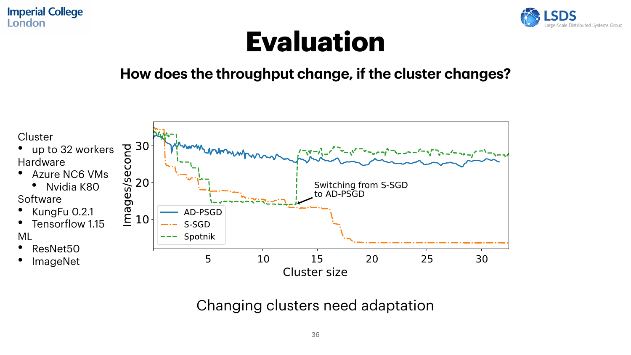### **Evaluation**

#### **How does the throughput change, if the cluster changes?**

![](_page_35_Figure_3.jpeg)

![](_page_35_Picture_5.jpeg)

#### Changing clusters need adaptation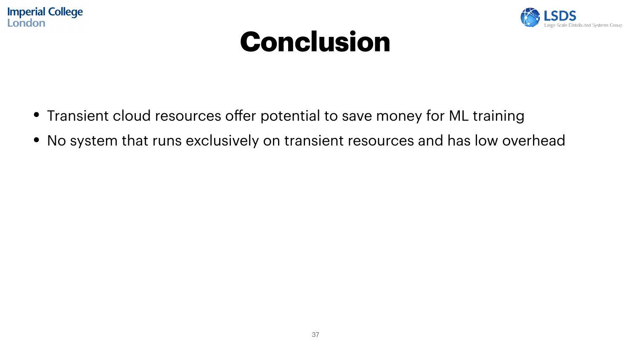![](_page_36_Picture_0.jpeg)

## **Conclusion**

- Transient cloud resources offer potential to save money for ML training
- 

![](_page_36_Picture_4.jpeg)

## • No system that runs exclusively on transient resources and has low overhead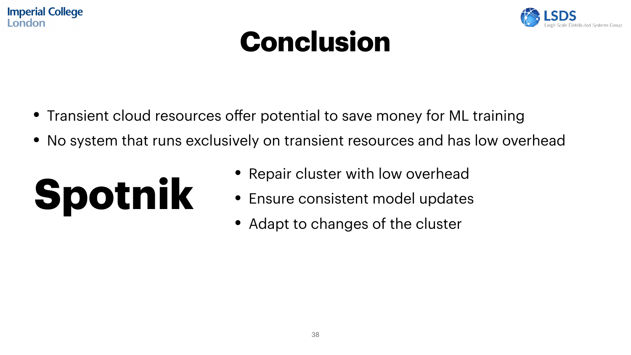## **Conclusion**

- Transient cloud resources offer potential to save money for ML training
- No system that runs exclusively on transient resources and has low overhead
- **Spotnik** • Repair cluster with low overhead • Ensure consistent model updates
	- Adapt to changes of the cluster

![](_page_37_Picture_6.jpeg)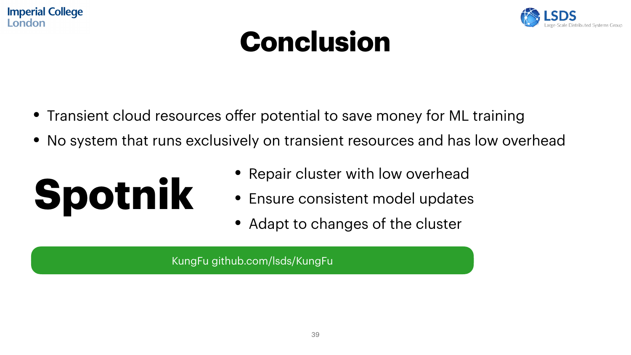## **Conclusion**

- Transient cloud resources offer potential to save money for ML training
- No system that runs exclusively on transient resources and has low overhead
- **Spotnik** • Repair cluster with low overhead • Ensure consistent model updates

KungFu github.com/lsds/KungFu

![](_page_38_Picture_6.jpeg)

• Adapt to changes of the cluster